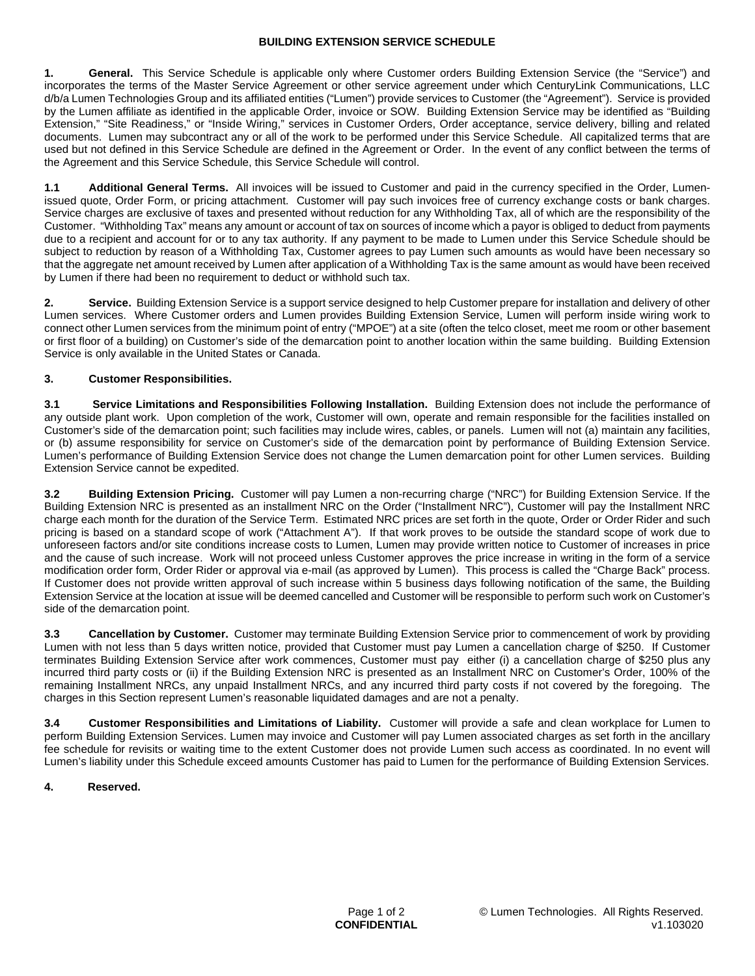#### **BUILDING EXTENSION SERVICE SCHEDULE**

**1. General.** This Service Schedule is applicable only where Customer orders Building Extension Service (the "Service") and incorporates the terms of the Master Service Agreement or other service agreement under which CenturyLink Communications, LLC d/b/a Lumen Technologies Group and its affiliated entities ("Lumen") provide services to Customer (the "Agreement"). Service is provided by the Lumen affiliate as identified in the applicable Order, invoice or SOW. Building Extension Service may be identified as "Building Extension," "Site Readiness," or "Inside Wiring," services in Customer Orders, Order acceptance, service delivery, billing and related documents. Lumen may subcontract any or all of the work to be performed under this Service Schedule. All capitalized terms that are used but not defined in this Service Schedule are defined in the Agreement or Order. In the event of any conflict between the terms of the Agreement and this Service Schedule, this Service Schedule will control.

**1.1 Additional General Terms.** All invoices will be issued to Customer and paid in the currency specified in the Order, Lumenissued quote, Order Form, or pricing attachment. Customer will pay such invoices free of currency exchange costs or bank charges. Service charges are exclusive of taxes and presented without reduction for any Withholding Tax, all of which are the responsibility of the Customer. "Withholding Tax" means any amount or account of tax on sources of income which a payor is obliged to deduct from payments due to a recipient and account for or to any tax authority. If any payment to be made to Lumen under this Service Schedule should be subject to reduction by reason of a Withholding Tax, Customer agrees to pay Lumen such amounts as would have been necessary so that the aggregate net amount received by Lumen after application of a Withholding Tax is the same amount as would have been received by Lumen if there had been no requirement to deduct or withhold such tax.

**2. Service.** Building Extension Service is a support service designed to help Customer prepare for installation and delivery of other Lumen services. Where Customer orders and Lumen provides Building Extension Service, Lumen will perform inside wiring work to connect other Lumen services from the minimum point of entry ("MPOE") at a site (often the telco closet, meet me room or other basement or first floor of a building) on Customer's side of the demarcation point to another location within the same building. Building Extension Service is only available in the United States or Canada.

# **3. Customer Responsibilities.**

**3.1 Service Limitations and Responsibilities Following Installation.** Building Extension does not include the performance of any outside plant work. Upon completion of the work, Customer will own, operate and remain responsible for the facilities installed on Customer's side of the demarcation point; such facilities may include wires, cables, or panels. Lumen will not (a) maintain any facilities, or (b) assume responsibility for service on Customer's side of the demarcation point by performance of Building Extension Service. Lumen's performance of Building Extension Service does not change the Lumen demarcation point for other Lumen services. Building Extension Service cannot be expedited.

**3.2 Building Extension Pricing.** Customer will pay Lumen a non-recurring charge ("NRC") for Building Extension Service. If the Building Extension NRC is presented as an installment NRC on the Order ("Installment NRC"), Customer will pay the Installment NRC charge each month for the duration of the Service Term. Estimated NRC prices are set forth in the quote, Order or Order Rider and such pricing is based on a standard scope of work ("Attachment A"). If that work proves to be outside the standard scope of work due to unforeseen factors and/or site conditions increase costs to Lumen, Lumen may provide written notice to Customer of increases in price and the cause of such increase. Work will not proceed unless Customer approves the price increase in writing in the form of a service modification order form, Order Rider or approval via e-mail (as approved by Lumen). This process is called the "Charge Back" process. If Customer does not provide written approval of such increase within 5 business days following notification of the same, the Building Extension Service at the location at issue will be deemed cancelled and Customer will be responsible to perform such work on Customer's side of the demarcation point.

**3.3 Cancellation by Customer.** Customer may terminate Building Extension Service prior to commencement of work by providing Lumen with not less than 5 days written notice, provided that Customer must pay Lumen a cancellation charge of \$250. If Customer terminates Building Extension Service after work commences, Customer must pay either (i) a cancellation charge of \$250 plus any incurred third party costs or (ii) if the Building Extension NRC is presented as an Installment NRC on Customer's Order, 100% of the remaining Installment NRCs, any unpaid Installment NRCs, and any incurred third party costs if not covered by the foregoing. The charges in this Section represent Lumen's reasonable liquidated damages and are not a penalty.

**3.4 Customer Responsibilities and Limitations of Liability.** Customer will provide a safe and clean workplace for Lumen to perform Building Extension Services. Lumen may invoice and Customer will pay Lumen associated charges as set forth in the ancillary fee schedule for revisits or waiting time to the extent Customer does not provide Lumen such access as coordinated. In no event will Lumen's liability under this Schedule exceed amounts Customer has paid to Lumen for the performance of Building Extension Services.

### **4. Reserved.**